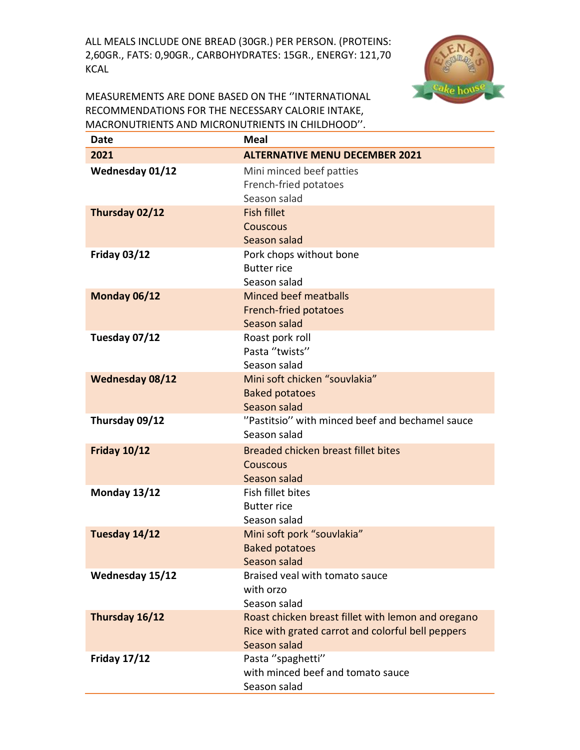ALL MEALS INCLUDE ONE BREAD (30GR.) PER PERSON. (PROTEINS: 2,60GR., FATS: 0,90GR., CARBOHYDRATES: 15GR., ENERGY: 121,70 KCAL



MEASUREMENTS ARE DONE BASED ON THE ''INTERNATIONAL RECOMMENDATIONS FOR THE NECESSARY CALORIE INTAKE, MACRONUTRIENTS AND MICRONUTRIENTS IN CHILDHOOD''.

| Date                | <b>Meal</b>                                                                                                             |
|---------------------|-------------------------------------------------------------------------------------------------------------------------|
| 2021                | <b>ALTERNATIVE MENU DECEMBER 2021</b>                                                                                   |
| Wednesday 01/12     | Mini minced beef patties<br>French-fried potatoes<br>Season salad                                                       |
| Thursday 02/12      | <b>Fish fillet</b><br>Couscous<br>Season salad                                                                          |
| <b>Friday 03/12</b> | Pork chops without bone<br><b>Butter rice</b><br>Season salad                                                           |
| Monday 06/12        | <b>Minced beef meatballs</b><br>French-fried potatoes<br>Season salad                                                   |
| Tuesday 07/12       | Roast pork roll<br>Pasta "twists"<br>Season salad                                                                       |
| Wednesday 08/12     | Mini soft chicken "souvlakia"<br><b>Baked potatoes</b><br>Season salad                                                  |
| Thursday 09/12      | "Pastitsio" with minced beef and bechamel sauce<br>Season salad                                                         |
| <b>Friday 10/12</b> | Breaded chicken breast fillet bites<br>Couscous<br>Season salad                                                         |
| Monday 13/12        | Fish fillet bites<br><b>Butter rice</b><br>Season salad                                                                 |
| Tuesday 14/12       | Mini soft pork "souvlakia"<br><b>Baked potatoes</b><br>Season salad                                                     |
| Wednesday 15/12     | Braised yeal with tomato sauce<br>with orzo<br>Season salad                                                             |
| Thursday 16/12      | Roast chicken breast fillet with lemon and oregano<br>Rice with grated carrot and colorful bell peppers<br>Season salad |
| <b>Friday 17/12</b> | Pasta "spaghetti"<br>with minced beef and tomato sauce<br>Season salad                                                  |